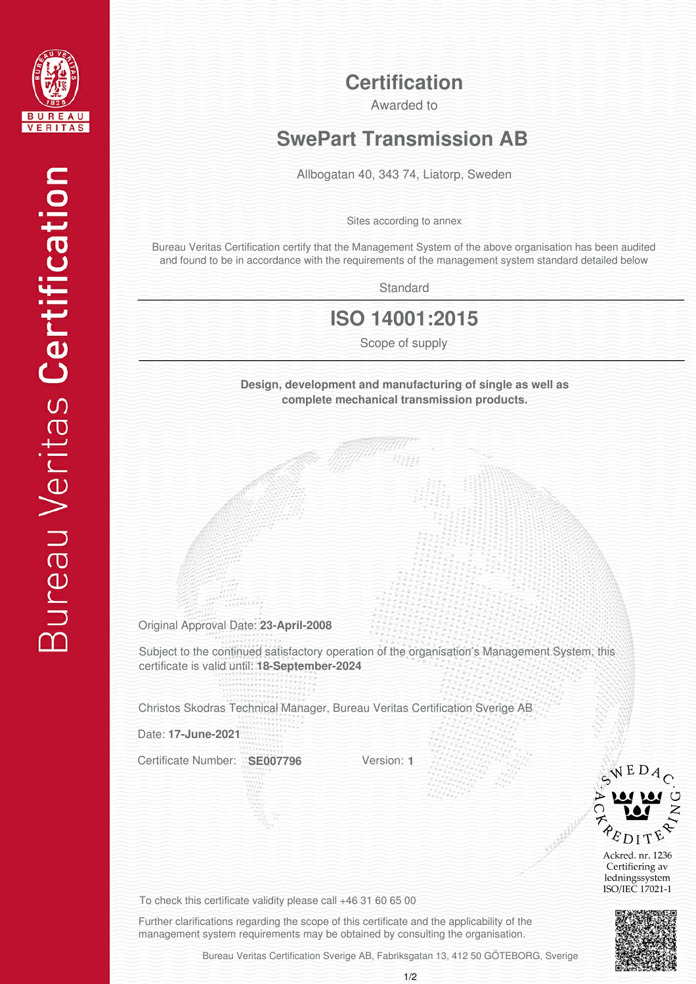

#### **Certification**

Awarded to

# **SwePart Transmission AB**

Allbogatan 40, 343 74, Liatorp, Sweden

Sites according to annex

Bureau Veritas Certification certify that the Management System of the above organisation has been audited and found to be in accordance with the requirements of the management system standard detailed below

**Standard** 

### **ISO 14001:2015**

Scope of supply

**Design, development and manufacturing of single as well as complete mechanical transmission products.**

Original Approval Date: **23-April-2008**

Subject to the continued satisfactory operation of the organisation's Management System, this certificate is valid until: **18-September-2024**

Christos Skodras Technical Manager, Bureau Veritas Certification Sverige AB

Date: **17-June-2021**

Certificate Number: **SE007796**

Version: **1**



Ackred. nr. 1236 Certifiering av ledningssystem ISO/IEC 17021-1



To check this certificate validity please call +46 31 60 65 00

Further clarifications regarding the scope of this certificate and the applicability of the management system requirements may be obtained by consulting the organisation.

Bureau Veritas Certification Sverige AB, Fabriksgatan 13, 412 50 GÖTEBORG, Sverige